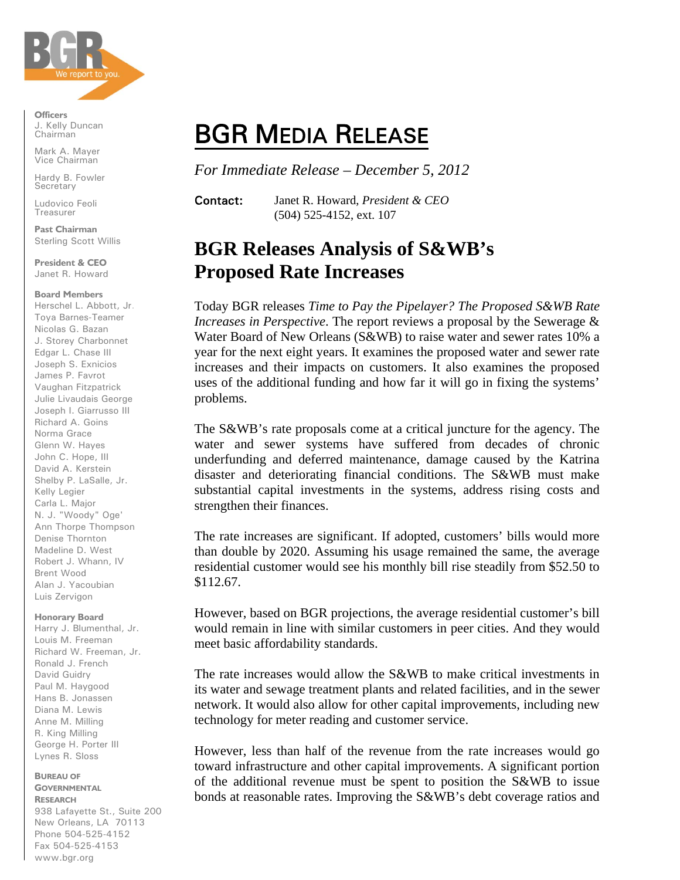

**Officers**  J. Kelly Duncan Chairman

Mark A. Mayer Vice Chairman

Hardy B. Fowler **Secretary** 

Ludovico Feoli Treasurer

**Past Chairman**  Sterling Scott Willis

**President & CEO** Janet R. Howard

## **Board Members**

Herschel L. Abbott, Jr. Toya Barnes-Teamer Nicolas G. Bazan J. Storey Charbonnet Edgar L. Chase III Joseph S. Exnicios James P. Favrot Vaughan Fitzpatrick Julie Livaudais George Joseph I. Giarrusso III Richard A. Goins Norma Grace Glenn W. Hayes John C. Hope, III David A. Kerstein Shelby P. LaSalle, Jr. Kelly Legier Carla L. Major N. J. "Woody" Oge' Ann Thorpe Thompson Denise Thornton Madeline D. West Robert J. Whann, IV Brent Wood Alan J. Yacoubian Luis Zervigon

## **Honorary Board**

Harry J. Blumenthal, Jr. Louis M. Freeman Richard W. Freeman, Jr. Ronald J. French David Guidry Paul M. Haygood Hans B. Jonassen Diana M. Lewis Anne M. Milling R. King Milling George H. Porter III Lynes R. Sloss

#### **BUREAU OF GOVERNMENTAL**

**RESEARCH** 938 Lafayette St., Suite 200 New Orleans, LA 70113 Phone 504-525-4152 Fax 504-525-4153 www.bgr.org

# BGR MEDIA RELEASE

*For Immediate Release – December 5, 2012*

Contact: Janet R. Howard, *President & CEO* (504) 525-4152, ext. 107

# **BGR Releases Analysis of S&WB's Proposed Rate Increases**

Today BGR releases *Time to Pay the Pipelayer? The Proposed S&WB Rate Increases in Perspective*. The report reviews a proposal by the Sewerage & Water Board of New Orleans (S&WB) to raise water and sewer rates 10% a year for the next eight years. It examines the proposed water and sewer rate increases and their impacts on customers. It also examines the proposed uses of the additional funding and how far it will go in fixing the systems' problems.

The S&WB's rate proposals come at a critical juncture for the agency. The water and sewer systems have suffered from decades of chronic underfunding and deferred maintenance, damage caused by the Katrina disaster and deteriorating financial conditions. The S&WB must make substantial capital investments in the systems, address rising costs and strengthen their finances.

The rate increases are significant. If adopted, customers' bills would more than double by 2020. Assuming his usage remained the same, the average residential customer would see his monthly bill rise steadily from \$52.50 to \$112.67.

However, based on BGR projections, the average residential customer's bill would remain in line with similar customers in peer cities. And they would meet basic affordability standards.

The rate increases would allow the S&WB to make critical investments in its water and sewage treatment plants and related facilities, and in the sewer network. It would also allow for other capital improvements, including new technology for meter reading and customer service.

However, less than half of the revenue from the rate increases would go toward infrastructure and other capital improvements. A significant portion of the additional revenue must be spent to position the S&WB to issue bonds at reasonable rates. Improving the S&WB's debt coverage ratios and